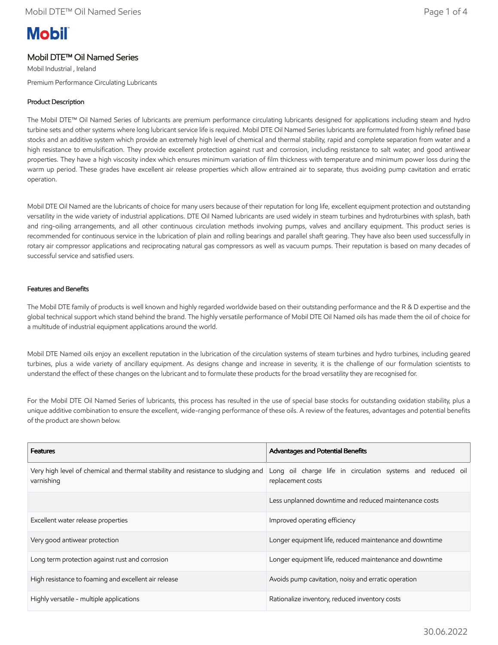# **Mobil**

## Mobil DTE™ Oil Named Series

Mobil Industrial , Ireland Premium Performance Circulating Lubricants

## Product Description

The Mobil DTE™ Oil Named Series of lubricants are premium performance circulating lubricants designed for applications including steam and hydro turbine sets and other systems where long lubricant service life is required. Mobil DTE Oil Named Series lubricants are formulated from highly refined base stocks and an additive system which provide an extremely high level of chemical and thermal stability, rapid and complete separation from water and a high resistance to emulsification. They provide excellent protection against rust and corrosion, including resistance to salt water, and good antiwear properties. They have a high viscosity index which ensures minimum variation of film thickness with temperature and minimum power loss during the warm up period. These grades have excellent air release properties which allow entrained air to separate, thus avoiding pump cavitation and erratic operation.

Mobil DTE Oil Named are the lubricants of choice for many users because of their reputation for long life, excellent equipment protection and outstanding versatility in the wide variety of industrial applications. DTE Oil Named lubricants are used widely in steam turbines and hydroturbines with splash, bath and ring-oiling arrangements, and all other continuous circulation methods involving pumps, valves and ancillary equipment. This product series is recommended for continuous service in the lubrication of plain and rolling bearings and parallel shaft gearing. They have also been used successfully in rotary air compressor applications and reciprocating natural gas compressors as well as vacuum pumps. Their reputation is based on many decades of successful service and satisfied users.

### Features and Benefits

The Mobil DTE family of products is well known and highly regarded worldwide based on their outstanding performance and the R & D expertise and the global technical support which stand behind the brand. The highly versatile performance of Mobil DTE Oil Named oils has made them the oil of choice for a multitude of industrial equipment applications around the world.

Mobil DTE Named oils enjoy an excellent reputation in the lubrication of the circulation systems of steam turbines and hydro turbines, including geared turbines, plus a wide variety of ancillary equipment. As designs change and increase in severity, it is the challenge of our formulation scientists to understand the effect of these changes on the lubricant and to formulate these products for the broad versatility they are recognised for.

For the Mobil DTE Oil Named Series of lubricants, this process has resulted in the use of special base stocks for outstanding oxidation stability, plus a unique additive combination to ensure the excellent, wide-ranging performance of these oils. A review of the features, advantages and potential benefits of the product are shown below.

| <b>Features</b>                                                                                | Advantages and Potential Benefits                                                |
|------------------------------------------------------------------------------------------------|----------------------------------------------------------------------------------|
| Very high level of chemical and thermal stability and resistance to sludging and<br>varnishing | Long oil charge life in circulation systems and reduced oil<br>replacement costs |
|                                                                                                | Less unplanned downtime and reduced maintenance costs                            |
| Excellent water release properties                                                             | Improved operating efficiency                                                    |
| Very good antiwear protection                                                                  | Longer equipment life, reduced maintenance and downtime                          |
| Long term protection against rust and corrosion                                                | Longer equipment life, reduced maintenance and downtime                          |
| High resistance to foaming and excellent air release                                           | Avoids pump cavitation, noisy and erratic operation                              |
| Highly versatile - multiple applications                                                       | Rationalize inventory, reduced inventory costs                                   |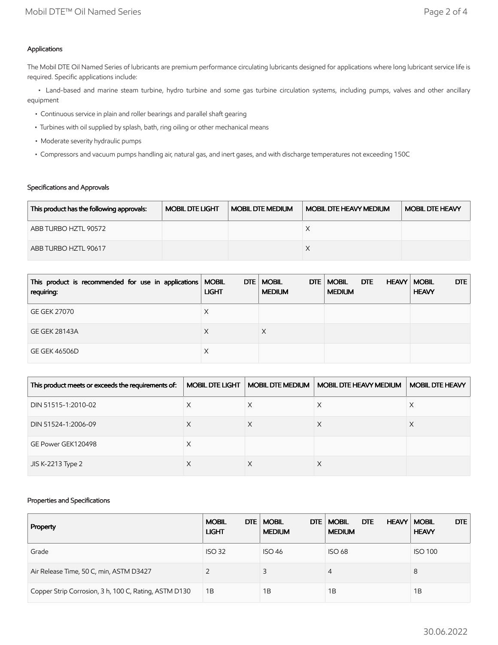## Applications

The Mobil DTE Oil Named Series of lubricants are premium performance circulating lubricants designed for applications where long lubricant service life is required. Specific applications include:

 • Land-based and marine steam turbine, hydro turbine and some gas turbine circulation systems, including pumps, valves and other ancillary equipment

- Continuous service in plain and roller bearings and parallel shaft gearing
- Turbines with oil supplied by splash, bath, ring oiling or other mechanical means
- Moderate severity hydraulic pumps
- Compressors and vacuum pumps handling air, natural gas, and inert gases, and with discharge temperatures not exceeding 150C

## Specifications and Approvals

| This product has the following approvals: | <b>MOBIL DTE LIGHT</b> | <b>MOBIL DTE MEDIUM</b> | <b>MOBIL DTE HEAVY MEDIUM</b> | <b>MOBIL DTE HEAVY</b> |
|-------------------------------------------|------------------------|-------------------------|-------------------------------|------------------------|
| ABB TURBO HZTL 90572                      |                        |                         |                               |                        |
| ABB TURBO HZTL 90617                      |                        |                         |                               |                        |

| This product is recommended for use in applications   MOBIL<br>requiring: | <b>LIGHT</b> | DTE   MOBIL<br>DTE<br><b>MEDIUM</b> | <b>MOBIL</b><br>DTE<br><b>MEDIUM</b> | DTE<br><b>HEAVY   MOBIL</b><br><b>HEAVY</b> |
|---------------------------------------------------------------------------|--------------|-------------------------------------|--------------------------------------|---------------------------------------------|
| <b>GE GEK 27070</b>                                                       | Х            |                                     |                                      |                                             |
| <b>GE GEK 28143A</b>                                                      | X            |                                     |                                      |                                             |
| <b>GE GEK 46506D</b>                                                      | Х            |                                     |                                      |                                             |

| This product meets or exceeds the requirements of: | <b>MOBIL DTE LIGHT</b> | <b>MOBIL DTE MEDIUM</b> | <b>MOBIL DTE HEAVY MEDIUM</b> | <b>MOBIL DTE HEAVY</b> |
|----------------------------------------------------|------------------------|-------------------------|-------------------------------|------------------------|
| DIN 51515-1:2010-02                                | X                      | X                       | X                             | X                      |
| DIN 51524-1:2006-09                                | ⋏                      |                         |                               |                        |
| GE Power GEK120498                                 | Х                      |                         |                               |                        |
| JIS K-2213 Type 2                                  | ∧                      |                         | ∧                             |                        |

### Properties and Specifications

| Property                                              | DTE  <br><b>MOBIL</b><br><b>LIGHT</b> | <b>MOBIL</b><br>DTE.<br><b>MEDIUM</b> | <b>DTE</b><br><b>MOBIL</b><br><b>HEAVY   MOBIL</b><br><b>MEDIUM</b> | <b>DTE</b><br><b>HEAVY</b> |
|-------------------------------------------------------|---------------------------------------|---------------------------------------|---------------------------------------------------------------------|----------------------------|
| Grade                                                 | <b>ISO 32</b>                         | <b>ISO 46</b>                         | <b>ISO 68</b>                                                       | <b>ISO 100</b>             |
| Air Release Time, 50 C, min, ASTM D3427               |                                       | 3                                     | 4                                                                   | 8                          |
| Copper Strip Corrosion, 3 h, 100 C, Rating, ASTM D130 | 1B                                    | 1B                                    | 1Β                                                                  | 1B                         |